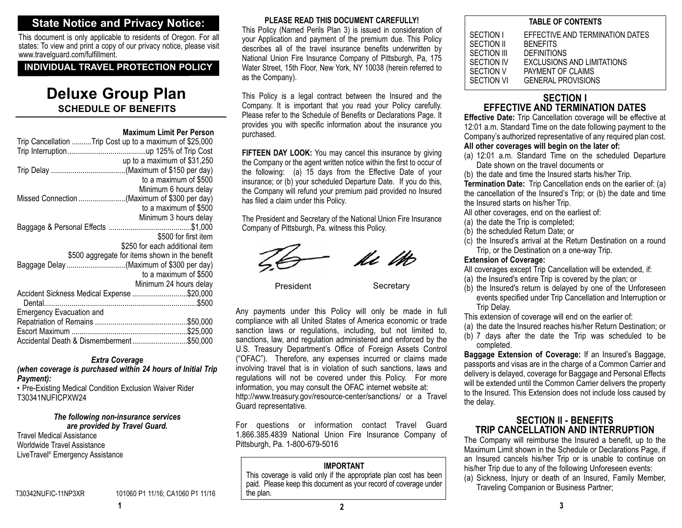### **State Notice and Privacy Notice:**

This document is only applicable to residents of Oregon. For all states: To view and print a copy of our privacy notice, please visit www.travelguard.com/fulfillment.

### **INDIVIDUAL TRAVEL PROTECTION POLICY**

## **SCHEDULE OF BENEFITSDeluxe Group Plan**

#### **Maximum Limit Per Person**

| Trip Cancellation Trip Cost up to a maximum of \$25,000 |
|---------------------------------------------------------|
|                                                         |
|                                                         |
| up to a maximum of \$31,250                             |
|                                                         |
| to a maximum of \$500                                   |
| Minimum 6 hours delay                                   |
|                                                         |
| to a maximum of \$500                                   |
| Minimum 3 hours delay                                   |
|                                                         |
|                                                         |
| \$500 for first item                                    |
| \$250 for each additional item                          |
| \$500 aggregate for items shown in the benefit          |
|                                                         |
| to a maximum of \$500                                   |
|                                                         |
| Minimum 24 hours delay                                  |
| Accident Sickness Medical Expense \$20,000              |
|                                                         |
| <b>Emergency Evacuation and</b>                         |
|                                                         |
|                                                         |
|                                                         |
| Accidental Death & Dismemberment\$50,000                |

#### *Extra Coverage*

*(when coverage is purchased within 24 hours of Initial Trip Payment):*

• Pre-Existing Medical Condition Exclusion Waiver Rider T30341NUFICPXW24

### *The following non-insurance services*

**60670 10 CT 3/09**

*are provided by Travel Guard.* Travel Medical AssistanceWorldwide Travel AssistanceLiveTravel® Emergency Assistance

T30342NUFIC-11NP3XR 101060 P1 11/16; CA1060 P1 11/16 the plan.

### **PLEASE READ THIS DOCUMENT CAREFULLY!**

This Policy (Named Perils Plan 3) is issued in consideration of your Application and payment of the premium due. This Policy describes all of the travel insurance benefits underwritten by National Union Fire Insurance Company of Pittsburgh, Pa, 175 Water Street, 15th Floor, New York, NY 10038 (herein referred to as the Company).

This Policy is a legal contract between the Insured and the Company. It is important that you read your Policy carefully. Please refer to the Schedule of Benefits or Declarations Page. It provides you with specific information about the insurance you purchased.

**FIFTEEN DAY LOOK:** You may cancel this insurance by giving the Company or the agent written notice within the first to occur of the following: (a) 15 days from the Effective Date of your insurance; or (b) your scheduled Departure Date. If you do this, the Company will refund your premium paid provided no Insured has filed a claim under this Policy.

The President and Secretary of the National Union Fire Insurance Company of Pittsburgh, Pa. witness this Policy.



ki lik

President

**Secretary** 

Any payments under this Policy will only be made in full compliance with all United States of America economic or trade sanction laws or regulations, including, but not limited to, sanctions, law, and regulation administered and enforced by the U.S. Treasury Department's Office of Foreign Assets Control ("OFAC"). Therefore, any expenses incurred or claims made involving travel that is in violation of such sanctions, laws and regulations will not be covered under this Policy. For more information, you may consult the OFAC internet website at: http://www.treasury.gov/resource-center/sanctions/ or a Travel Guard representative.

For questions or information contact Travel Guard 1.866.385.4839 National Union Fire Insurance Company of Pittsburgh, Pa. 1-800-679-5016

#### **IMPORTANT**

 This coverage is valid only if the appropriate plan cost has been paid. Please keep this document as your record of coverage under

| <b>TABLE OF CONTENTS</b>                                                                                                                                                                                |  |  |
|---------------------------------------------------------------------------------------------------------------------------------------------------------------------------------------------------------|--|--|
| EFFECTIVE AND TERMINATION DATES<br>SECTION I<br>SECTION II<br><b>BENEFITS</b><br>SECTION III<br><b>DEFINITIONS</b><br><b>EXCLUSIONS AND LIMITATIONS</b><br>SECTION IV<br>SECTION V<br>PAYMENT OF CLAIMS |  |  |
| SECTION VI<br><b>GENERAL PROVISIONS</b>                                                                                                                                                                 |  |  |

### **SECTION IEFFECTIVE AND TERMINATION DATES**

**Effective Date:** Trip Cancellation coverage will be effective at 12:01 a.m. Standard Time on the date following payment to the Company's authorized representative of any required plan cost. **All other coverages will begin on the later of:** 

(a) 12:01 a.m. Standard Time on the scheduled Departure Date shown on the travel documents or

(b) the date and time the Insured starts his/her Trip.

**Termination Date:** Trip Cancellation ends on the earlier of: (a) the cancellation of the Insured's Trip; or (b) the date and time the Insured starts on his/her Trip.

- All other coverages, end on the earliest of:
- (a) the date the Trip is completed;
- (b) the scheduled Return Date; or
- (c) the Insured's arrival at the Return Destination on a round Trip, or the Destination on a one-way Trip.

### **Extension of Coverage:**

All coverages except Trip Cancellation will be extended, if:

- (a) the Insured's entire Trip is covered by the plan; or
- (b) the Insured's return is delayed by one of the Unforeseen events specified under Trip Cancellation and Interruption or Trip Delay.
- This extension of coverage will end on the earlier of:
- (a) the date the Insured reaches his/her Return Destination; or
- (b) 7 days after the date the Trip was scheduled to be completed.

**Baggage Extension of Coverage:** If an Insured's Baggage, passports and visas are in the charge of a Common Carrier and delivery is delayed, coverage for Baggage and Personal Effects will be extended until the Common Carrier delivers the property to the Insured. This Extension does not include loss caused by the delay.

### **SECTION II - BENEFITSTRIP CANCELLATION AND INTERRUPTION**

The Company will reimburse the Insured a benefit, up to the Maximum Limit shown in the Schedule or Declarations Page, if an Insured cancels his/her Trip or is unable to continue on his/her Trip due to any of the following Unforeseen events:

(a) Sickness, Injury or death of an Insured, Family Member, Traveling Companion or Business Partner;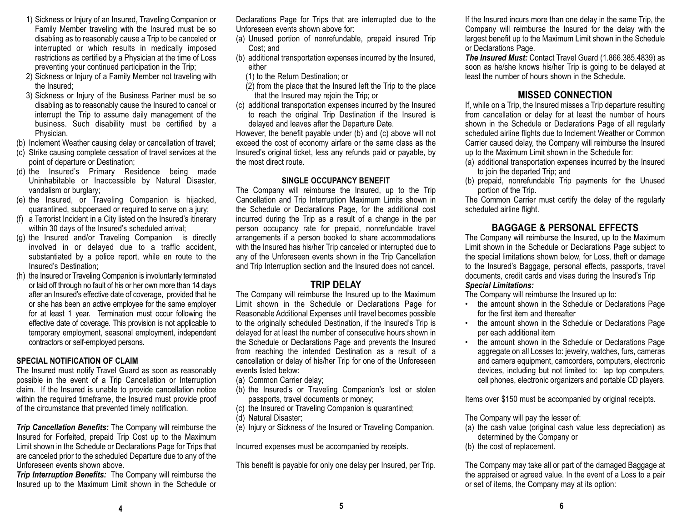- 1) Sickness or Injury of an Insured, Traveling Companion or Family Member traveling with the Insured must be so disabling as to reasonably cause a Trip to be canceled or interrupted or which results in medically imposed restrictions as certified by a Physician at the time of Loss preventing your continued participation in the Trip;
- 2) Sickness or Injury of a Family Member not traveling with the Insured;
- 3) Sickness or Injury of the Business Partner must be so disabling as to reasonably cause the Insured to cancel or interrupt the Trip to assume daily management of the business. Such disability must be certified by a Physician.
- (b) Inclement Weather causing delay or cancellation of travel;
- (c) Strike causing complete cessation of travel services at the point of departure or Destination;
- (d) the Insured's Primary Residence being made Uninhabitable or Inaccessible by Natural Disaster, vandalism or burglary;
- (e) the Insured, or Traveling Companion is hijacked, quarantined, subpoenaed or required to serve on a jury;
- (f) a Terrorist Incident in a City listed on the Insured's itinerary within 30 days of the Insured's scheduled arrival;
- (g) the Insured and/or Traveling Companion is directly involved in or delayed due to a traffic accident, substantiated by a police report, while en route to the Insured's Destination;
- (h) the Insured or Traveling Companion is involuntarily terminated or laid off through no fault of his or her own more than 14 days after an Insured's effective date of coverage, provided that he or she has been an active employee for the same employer for at least 1 year. Termination must occur following the effective date of coverage. This provision is not applicable to temporary employment, seasonal employment, independent contractors or self-employed persons.

### **SPECIAL NOTIFICATION OF CLAIM**

The Insured must notify Travel Guard as soon as reasonably possible in the event of a Trip Cancellation or Interruption claim. If the Insured is unable to provide cancellation notice within the required timeframe, the Insured must provide proof of the circumstance that prevented timely notification.

*Trip Cancellation Benefits:* The Company will reimburse the Insured for Forfeited, prepaid Trip Cost up to the Maximum Limit shown in the Schedule or Declarations Page for Trips that are canceled prior to the scheduled Departure due to any of the Unforeseen events shown above.

*Trip Interruption Benefits:* The Company will reimburse the Insured up to the Maximum Limit shown in the Schedule or

Declarations Page for Trips that are interrupted due to the Unforeseen events shown above for:

- (a) Unused portion of nonrefundable, prepaid insured Trip Cost; and
- (b) additional transportation expenses incurred by the Insured, either
	- (1) to the Return Destination; or
	- (2) from the place that the Insured left the Trip to the place that the Insured may rejoin the Trip; or
- (c) additional transportation expenses incurred by the Insured to reach the original Trip Destination if the Insured is delayed and leaves after the Departure Date.

However, the benefit payable under (b) and (c) above will not exceed the cost of economy airfare or the same class as the Insured's original ticket, less any refunds paid or payable, by the most direct route.

#### **SINGLE OCCUPANCY BENEFIT**

The Company will reimburse the Insured, up to the Trip Cancellation and Trip Interruption Maximum Limits shown in the Schedule or Declarations Page, for the additional cost incurred during the Trip as a result of a change in the per person occupancy rate for prepaid, nonrefundable travel arrangements if a person booked to share accommodations with the Insured has his/her Trip canceled or interrupted due to any of the Unforeseen events shown in the Trip Cancellation and Trip Interruption section and the Insured does not cancel.

### **TRIP DELAY**

The Company will reimburse the Insured up to the Maximum Limit shown in the Schedule or Declarations Page for Reasonable Additional Expenses until travel becomes possible to the originally scheduled Destination, if the Insured's Trip is delayed for at least the number of consecutive hours shown in the Schedule or Declarations Page and prevents the Insured from reaching the intended Destination as a result of a cancellation or delay of his/her Trip for one of the Unforeseen events listed below:

- (a) Common Carrier delay;
- (b) the Insured's or Traveling Companion's lost or stolen passports, travel documents or money;
- (c) the Insured or Traveling Companion is quarantined;
- (d) Natural Disaster;
- (e) Injury or Sickness of the Insured or Traveling Companion.

Incurred expenses must be accompanied by receipts.

This benefit is payable for only one delay per Insured, per Trip.

If the Insured incurs more than one delay in the same Trip, the Company will reimburse the Insured for the delay with the largest benefit up to the Maximum Limit shown in the Schedule or Declarations Page.

*The Insured Must:* Contact Travel Guard (1.866.385.4839) as soon as he/she knows his/her Trip is going to be delayed at least the number of hours shown in the Schedule.

### **MISSED CONNECTION**

 If, while on a Trip, the Insured misses a Trip departure resulting from cancellation or delay for at least the number of hours shown in the Schedule or Declarations Page of all regularly scheduled airline flights due to Inclement Weather or Common Carrier caused delay, the Company will reimburse the Insured up to the Maximum Limit shown in the Schedule for:

- (a) additional transportation expenses incurred by the Insured to join the departed Trip; and
- (b) prepaid, nonrefundable Trip payments for the Unused portion of the Trip.

The Common Carrier must certify the delay of the regularly scheduled airline flight.

### **BAGGAGE & PERSONAL EFFECTS**

The Company will reimburse the Insured, up to the Maximum Limit shown in the Schedule or Declarations Page subject to the special limitations shown below, for Loss, theft or damage to the Insured's Baggage, personal effects, passports, travel documents, credit cards and visas during the Insured's Trip *Special Limitations:* 

The Company will reimburse the Insured up to:

- the amount shown in the Schedule or Declarations Page for the first item and thereafter
- the amount shown in the Schedule or Declarations Page per each additional item
- the amount shown in the Schedule or Declarations Page aggregate on all Losses to: jewelry, watches, furs, cameras and camera equipment, camcorders, computers, electronic devices, including but not limited to: lap top computers, cell phones, electronic organizers and portable CD players.

Items over \$150 must be accompanied by original receipts.

The Company will pay the lesser of:

- (a) the cash value (original cash value less depreciation) as determined by the Company or
- (b) the cost of replacement.

The Company may take all or part of the damaged Baggage at the appraised or agreed value. In the event of a Loss to a pair or set of items, the Company may at its option:

**<sup>5</sup> <sup>6</sup>**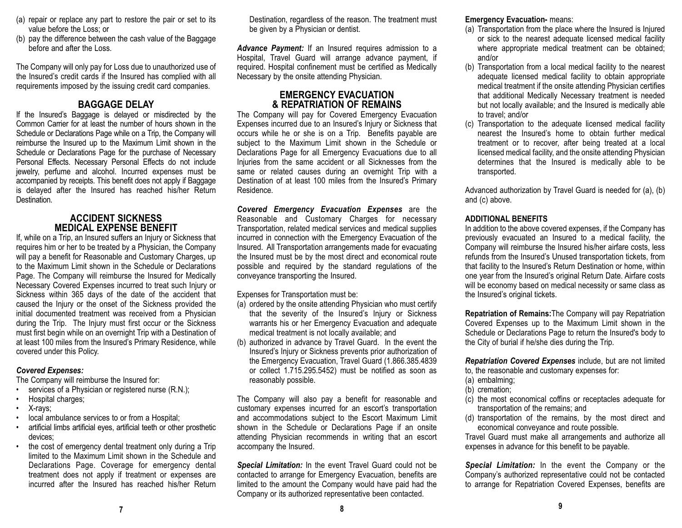- (a) repair or replace any part to restore the pair or set to its value before the Loss; or
- (b) pay the difference between the cash value of the Baggage before and after the Loss.

The Company will only pay for Loss due to unauthorized use of the Insured's credit cards if the Insured has complied with all requirements imposed by the issuing credit card companies.

### **BAGGAGE DELAY**

If the Insured's Baggage is delayed or misdirected by the Common Carrier for at least the number of hours shown in the Schedule or Declarations Page while on a Trip, the Company will reimburse the Insured up to the Maximum Limit shown in the Schedule or Declarations Page for the purchase of Necessary Personal Effects. Necessary Personal Effects do not include jewelry, perfume and alcohol. Incurred expenses must be accompanied by receipts. This benefit does not apply if Baggage is delayed after the Insured has reached his/her Return Destination.

### **ACCIDENT SICKNESS MEDICAL EXPENSE BENEFIT**

 If, while on a Trip, an Insured suffers an Injury or Sickness that requires him or her to be treated by a Physician, the Company will pay a benefit for Reasonable and Customary Charges, up to the Maximum Limit shown in the Schedule or DeclarationsPage. The Company will reimburse the Insured for Medically Necessary Covered Expenses incurred to treat such Injury or Sickness within 365 days of the date of the accident that caused the Injury or the onset of the Sickness provided the initial documented treatment was received from a Physician during the Trip. The Injury must first occur or the Sickness must first begin while on an overnight Trip with a Destination of at least 100 miles from the Insured's Primary Residence, while covered under this Policy.

### *Covered Expenses:*

The Company will reimburse the Insured for:

- services of a Physician or registered nurse (R.N.);
- •Hospital charges;
- X-rays;
- •local ambulance services to or from a Hospital;
- • artificial limbs artificial eyes, artificial teeth or other prosthetic devices;
- • the cost of emergency dental treatment only during a Trip limited to the Maximum Limit shown in the Schedule andDeclarations Page. Coverage for emergency dental treatment does not apply if treatment or expenses are incurred after the Insured has reached his/her Return

Destination, regardless of the reason. The treatment must be given by a Physician or dentist.

*Advance Payment:* If an Insured requires admission to a Hospital, Travel Guard will arrange advance payment, if required. Hospital confinement must be certified as Medically Necessary by the onsite attending Physician.

### **EMERGENCY EVACUATION & REPATRIATION OF REMAINS**

 The Company will pay for Covered Emergency Evacuation Expenses incurred due to an Insured's Injury or Sickness that occurs while he or she is on a Trip. Benefits payable are subject to the Maximum Limit shown in the Schedule or Declarations Page for all Emergency Evacuations due to all Injuries from the same accident or all Sicknesses from the same or related causes during an overnight Trip with a Destination of at least 100 miles from the Insured's Primary Residence.

*Covered Emergency Evacuation Expenses* are the Reasonable and Customary Charges for necessary Transportation, related medical services and medical supplies incurred in connection with the Emergency Evacuation of the Insured. All Transportation arrangements made for evacuating the Insured must be by the most direct and economical route possible and required by the standard regulations of the conveyance transporting the Insured.

Expenses for Transportation must be:

- (a) ordered by the onsite attending Physician who must certify that the severity of the Insured's Injury or Sickness warrants his or her Emergency Evacuation and adequate medical treatment is not locally available; and
- (b) authorized in advance by Travel Guard. In the event the Insured's Injury or Sickness prevents prior authorization of the Emergency Evacuation, Travel Guard (1.866.385.4839 or collect 1.715.295.5452) must be notified as soon as reasonably possible.

The Company will also pay a benefit for reasonable and customary expenses incurred for an escort's transportation and accommodations subject to the Escort Maximum Limit shown in the Schedule or Declarations Page if an onsite attending Physician recommends in writing that an escort accompany the Insured.

*Special Limitation:* In the event Travel Guard could not be contacted to arrange for Emergency Evacuation, benefits are limited to the amount the Company would have paid had the Company or its authorized representative been contacted.

**Emergency Evacuation-** means:

- (a) Transportation from the place where the Insured is Injured or sick to the nearest adequate licensed medical facility where appropriate medical treatment can be obtained; and/or
- (b) Transportation from a local medical facility to the nearest adequate licensed medical facility to obtain appropriate medical treatment if the onsite attending Physician certifies that additional Medically Necessary treatment is needed but not locally available; and the Insured is medically able to travel; and/or
- (c) Transportation to the adequate licensed medical facility nearest the Insured's home to obtain further medical treatment or to recover, after being treated at a local licensed medical facility, and the onsite attending Physician determines that the Insured is medically able to be transported.

Advanced authorization by Travel Guard is needed for (a), (b) and (c) above.

### **ADDITIONAL BENEFITS**

In addition to the above covered expenses, if the Company has previously evacuated an Insured to a medical facility, the Company will reimburse the Insured his/her airfare costs, less refunds from the Insured's Unused transportation tickets, from that facility to the Insured's Return Destination or home, within one year from the Insured's original Return Date. Airfare costs will be economy based on medical necessity or same class as the Insured's original tickets.

**Repatriation of Remains:**The Company will pay Repatriation Covered Expenses up to the Maximum Limit shown in the Schedule or Declarations Page to return the Insured's body to the City of burial if he/she dies during the Trip.

*Repatriation Covered Expenses* include, but are not limited to, the reasonable and customary expenses for:

- (a) embalming;
- (b) cremation;
- (c) the most economical coffins or receptacles adequate for transportation of the remains; and
- (d) transportation of the remains, by the most direct and economical conveyance and route possible.

Travel Guard must make all arrangements and authorize all expenses in advance for this benefit to be payable.

*Special Limitation:* In the event the Company or the Company's authorized representative could not be contacted to arrange for Repatriation Covered Expenses, benefits are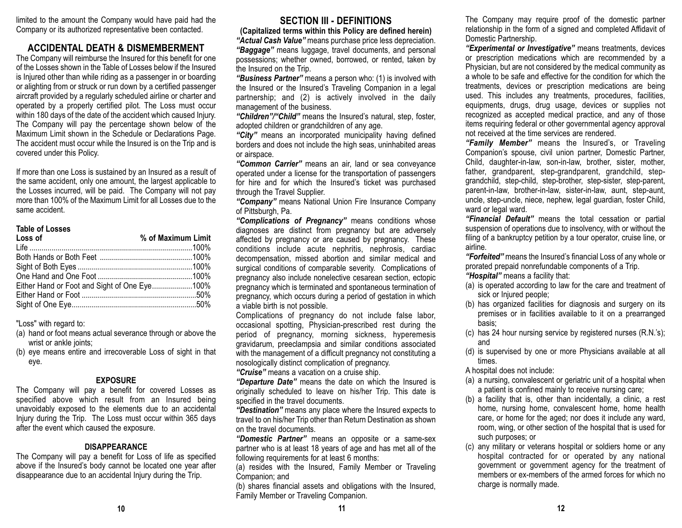limited to the amount the Company would have paid had the Company or its authorized representative been contacted.

### **ACCIDENTAL DEATH & DISMEMBERMENT**

The Company will reimburse the Insured for this benefit for one of the Losses shown in the Table of Losses below if the Insured is Injured other than while riding as a passenger in or boarding or alighting from or struck or run down by a certified passenger aircraft provided by a regularly scheduled airline or charter and operated by a properly certified pilot. The Loss must occur within 180 days of the date of the accident which caused Injury. The Company will pay the percentage shown below of the Maximum Limit shown in the Schedule or Declarations Page. The accident must occur while the Insured is on the Trip and is covered under this Policy.

If more than one Loss is sustained by an Insured as a result of the same accident, only one amount, the largest applicable to the Losses incurred, will be paid. The Company will not pay more than 100% of the Maximum Limit for all Losses due to thesame accident.

#### **Table of Losses**

| Loss of                                      | % of Maximum Limit |
|----------------------------------------------|--------------------|
|                                              |                    |
|                                              |                    |
|                                              |                    |
|                                              |                    |
| Either Hand or Foot and Sight of One Eye100% |                    |
|                                              |                    |
|                                              |                    |
|                                              |                    |

"Loss" with regard to:

- (a) hand or foot means actual severance through or above the wrist or ankle joints;
- (b) eye means entire and irrecoverable Loss of sight in that eye.

### **EXPOSURE**

The Company will pay a benefit for covered Losses as specified above which result from an Insured being unavoidably exposed to the elements due to an accidental Injury during the Trip. The Loss must occur within 365 days after the event which caused the exposure.

#### **DISAPPEARANCE**

The Company will pay a benefit for Loss of life as specified above if the Insured's body cannot be located one year after disappearance due to an accidental Injury during the Trip.

### **SECTION III - DEFINITIONS**

**(Capitalized terms within this Policy are defined herein)** *"Actual Cash Value"* means purchase price less depreciation. *"Baggage"* means luggage, travel documents, and personal possessions; whether owned, borrowed, or rented, taken by the Insured on the Trip.

*"Business Partner"* means a person who: (1) is involved with the Insured or the Insured's Traveling Companion in a legal partnership; and (2) is actively involved in the daily management of the business.

*"Children"/"Child"* means the Insured's natural, step, foster, adopted children or grandchildren of any age.

*"City"* means an incorporated municipality having defined borders and does not include the high seas, uninhabited areas or airspace.

*"Common Carrier"* means an air, land or sea conveyance operated under a license for the transportation of passengers for hire and for which the Insured's ticket was purchased through the Travel Supplier.

*"Company"* means National Union Fire Insurance Company of Pittsburgh, Pa.

*"Complications of Pregnancy"* means conditions whose diagnoses are distinct from pregnancy but are adversely affected by pregnancy or are caused by pregnancy. These conditions include acute nephritis, nephrosis, cardiac decompensation, missed abortion and similar medical and surgical conditions of comparable severity. Complications of pregnancy also include nonelective cesarean section, ectopic pregnancy which is terminated and spontaneous termination of pregnancy, which occurs during a period of gestation in which a viable birth is not possible.

Complications of pregnancy do not include false labor, occasional spotting, Physician-prescribed rest during the period of pregnancy, morning sickness, hyperemesis gravidarum, preeclampsia and similar conditions associated with the management of a difficult pregnancy not constituting a nosologically distinct complication of pregnancy.

*"Cruise"* means a vacation on a cruise ship.

*"Departure Date"* means the date on which the Insured is originally scheduled to leave on his/her Trip. This date is specified in the travel documents.

*"Destination"* means any place where the Insured expects to travel to on his/her Trip other than Return Destination as shown on the travel documents.

*"Domestic Partner"* means an opposite or a same-sex partner who is at least 18 years of age and has met all of the following requirements for at least 6 months:

(a) resides with the Insured, Family Member or Traveling Companion; and

(b) shares financial assets and obligations with the Insured, Family Member or Traveling Companion.

The Company may require proof of the domestic partner relationship in the form of a signed and completed Affidavit of Domestic Partnership.

*"Experimental or Investigative"* means treatments, devices or prescription medications which are recommended by a Physician, but are not considered by the medical community as a whole to be safe and effective for the condition for which thetreatments, devices or prescription medications are being used. This includes any treatments, procedures, facilities, equipments, drugs, drug usage, devices or supplies not recognized as accepted medical practice, and any of those items requiring federal or other governmental agency approval not received at the time services are rendered.

*"Family Member"* means the Insured's, or Traveling Companion's spouse, civil union partner, Domestic Partner, Child, daughter-in-law, son-in-law, brother, sister, mother, father, grandparent, step-grandparent, grandchild, stepgrandchild, step-child, step-brother, step-sister, step-parent, parent-in-law, brother-in-law, sister-in-law, aunt, step-aunt, uncle, step-uncle, niece, nephew, legal guardian, foster Child, ward or legal ward.

*"Financial Default"* means the total cessation or partial suspension of operations due to insolvency, with or without the filing of a bankruptcy petition by a tour operator, cruise line, or airline.

*"Forfeited"* means the Insured's financial Loss of any whole or prorated prepaid nonrefundable components of a Trip. *"Hospital"* means a facility that:

- (a) is operated according to law for the care and treatment of sick or Injured people;
- (b) has organized facilities for diagnosis and surgery on its premises or in facilities available to it on a prearranged basis;
- (c) has 24 hour nursing service by registered nurses (R.N.'s); and
- (d) is supervised by one or more Physicians available at all times.
- A hospital does not include:
- (a) a nursing, convalescent or geriatric unit of a hospital when a patient is confined mainly to receive nursing care;
- (b) a facility that is, other than incidentally, a clinic, a rest home, nursing home, convalescent home, home health care, or home for the aged; nor does it include any ward, room, wing, or other section of the hospital that is used for such purposes; or
- (c) any military or veterans hospital or soldiers home or any hospital contracted for or operated by any national government or government agency for the treatment of members or ex-members of the armed forces for which nocharge is normally made.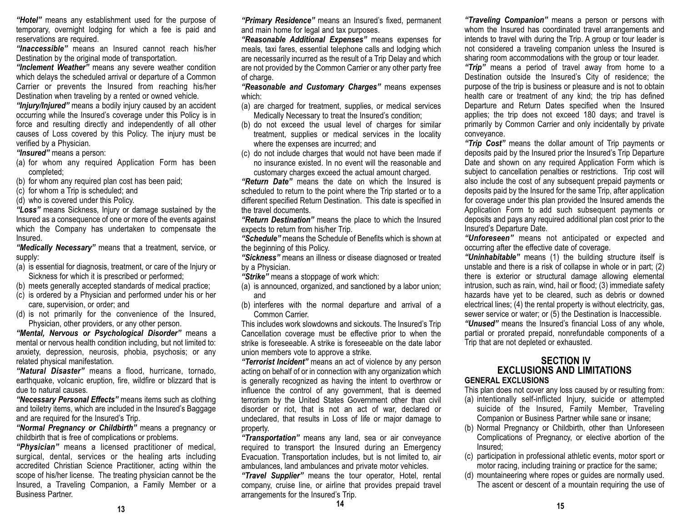*"Hotel"* means any establishment used for the purpose of temporary, overnight lodging for which a fee is paid and reservations are required.

*"Inaccessible"* means an Insured cannot reach his/herDestination by the original mode of transportation.

*"Inclement Weather"* means any severe weather condition which delays the scheduled arrival or departure of a Common Carrier or prevents the Insured from reaching his/her Destination when traveling by a rented or owned vehicle.

*"Injury/Injured"* means a bodily injury caused by an accident occurring while the Insured's coverage under this Policy is in force and resulting directly and independently of all other causes of Loss covered by this Policy. The injury must be verified by a Physician.

*"Insured"* means a person:

- (a) for whom any required Application Form has been completed;
- (b) for whom any required plan cost has been paid;

(c) for whom a Trip is scheduled; and

(d) who is covered under this Policy.

*"Loss"* means Sickness, Injury or damage sustained by the Insured as a consequence of one or more of the events against which the Company has undertaken to compensate the Insured.

*"Medically Necessary"* means that a treatment, service, or supply:

- (a) is essential for diagnosis, treatment, or care of the Injury or Sickness for which it is prescribed or performed;
- (b) meets generally accepted standards of medical practice;
- (c) is ordered by a Physician and performed under his or her care, supervision, or order; and
- (d) is not primarily for the convenience of the Insured, Physician, other providers, or any other person.

*"Mental, Nervous or Psychological Disorder"* means a mental or nervous health condition including, but not limited to: anxiety, depression, neurosis, phobia, psychosis; or any related physical manifestation.

*"Natural Disaster"* means a flood, hurricane, tornado, earthquake, volcanic eruption, fire, wildfire or blizzard that is due to natural causes.

*"Necessary Personal Effects"* means items such as clothing and toiletry items, which are included in the Insured's Baggage and are required for the Insured's Trip.

*"Normal Pregnancy or Childbirth"* means a pregnancy or childbirth that is free of complications or problems.

*"Physician"* means a licensed practitioner of medical, surgical, dental, services or the healing arts including accredited Christian Science Practitioner, acting within the scope of his/her license. The treating physician cannot be the Insured, a Traveling Companion, a Family Member or a Business Partner.

*"Primary Residence"* means an Insured's fixed, permanent and main home for legal and tax purposes.

*"Reasonable Additional Expenses"* means expenses for meals, taxi fares, essential telephone calls and lodging which are necessarily incurred as the result of a Trip Delay and which are not provided by the Common Carrier or any other party free of charge.

*"Reasonable and Customary Charges"* means expenses which:

- (a) are charged for treatment, supplies, or medical services Medically Necessary to treat the Insured's condition;
- (b) do not exceed the usual level of charges for similar treatment, supplies or medical services in the locality where the expenses are incurred; and
- (c) do not include charges that would not have been made if no insurance existed. In no event will the reasonable andcustomary charges exceed the actual amount charged.

*"Return Date"* means the date on which the Insured is scheduled to return to the point where the Trip started or to a different specified Return Destination. This date is specified in the travel documents.

*"Return Destination"* means the place to which the Insured expects to return from his/her Trip.

*"Schedule"* means the Schedule of Benefits which is shown at the beginning of this Policy.

*"Sickness"* means an illness or disease diagnosed or treated by a Physician.

*"Strike"* means a stoppage of work which:

- (a) is announced, organized, and sanctioned by a labor union; and
- (b) interferes with the normal departure and arrival of a Common Carrier.

This includes work slowdowns and sickouts. The Insured's Trip Cancellation coverage must be effective prior to when the strike is foreseeable. A strike is foreseeable on the date laborunion members vote to approve a strike.

*"Terrorist Incident"* means an act of violence by any person acting on behalf of or in connection with any organization which is generally recognized as having the intent to overthrow or influence the control of any government, that is deemed terrorism by the United States Government other than civil disorder or riot, that is not an act of war, declared or undeclared, that results in Loss of life or major damage to property.

*"Transportation"* means any land, sea or air conveyance required to transport the Insured during an Emergency Evacuation. Transportation includes, but is not limited to, air ambulances, land ambulances and private motor vehicles.

*"Travel Supplier"* means the tour operator, Hotel, rental company, cruise line, or airline that provides prepaid travel arrangements for the Insured's Trip.

*"Traveling Companion"* means a person or persons with whom the Insured has coordinated travel arrangements and intends to travel with during the Trip. A group or tour leader is not considered a traveling companion unless the Insured is sharing room accommodations with the group or tour leader.

*"Trip"* means a period of travel away from home to a Destination outside the Insured's City of residence; the purpose of the trip is business or pleasure and is not to obtain health care or treatment of any kind; the trip has defined Departure and Return Dates specified when the Insured applies; the trip does not exceed 180 days; and travel is primarily by Common Carrier and only incidentally by private conveyance.

*"Trip Cost"* means the dollar amount of Trip payments or deposits paid by the Insured prior the Insured's Trip Departure Date and shown on any required Application Form which is subject to cancellation penalties or restrictions. Trip cost will also include the cost of any subsequent prepaid payments or deposits paid by the Insured for the same Trip, after application for coverage under this plan provided the Insured amends the Application Form to add such subsequent payments or deposits and pays any required additional plan cost prior to the Insured's Departure Date.

*"Unforeseen"* means not anticipated or expected and occurring after the effective date of coverage.

*"Uninhabitable"* means (1) the building structure itself is unstable and there is a risk of collapse in whole or in part; (2) there is exterior or structural damage allowing elemental intrusion, such as rain, wind, hail or flood; (3) immediate safety hazards have yet to be cleared, such as debris or downed electrical lines; (4) the rental property is without electricity, gas, sewer service or water; or (5) the Destination is Inaccessible.

*"Unused"* means the Insured's financial Loss of any whole, partial or prorated prepaid, nonrefundable components of a Trip that are not depleted or exhausted.

### **SECTION IV EXCLUSIONS AND LIMITATIONSGENERAL EXCLUSIONS**

This plan does not cover any loss caused by or resulting from:

- (a) intentionally self-inflicted Injury, suicide or attempted suicide of the Insured, Family Member, Traveling Companion or Business Partner while sane or insane;
- (b) Normal Pregnancy or Childbirth, other than Unforeseen Complications of Pregnancy, or elective abortion of the Insured;
- (c) participation in professional athletic events, motor sport or motor racing, including training or practice for the same;
- (d) mountaineering where ropes or guides are normally used. The ascent or descent of a mountain requiring the use of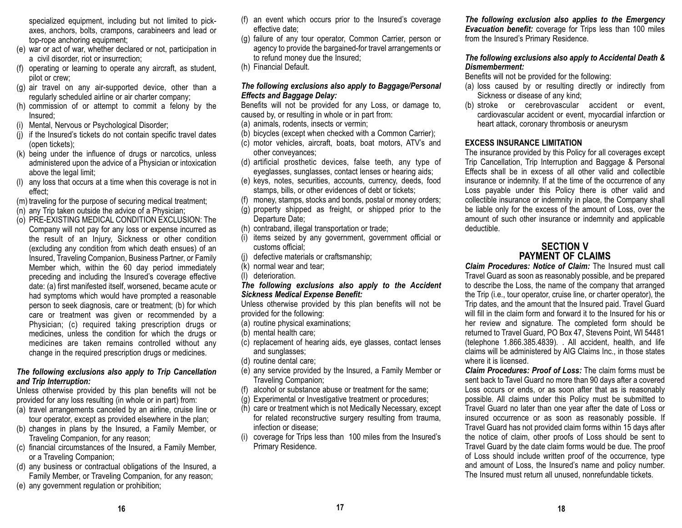specialized equipment, including but not limited to pickaxes, anchors, bolts, crampons, carabineers and lead or top-rope anchoring equipment;

- (e) war or act of war, whether declared or not, participation in a civil disorder, riot or insurrection;
- (f) operating or learning to operate any aircraft, as student, pilot or crew;
- (g) air travel on any air-supported device, other than a regularly scheduled airline or air charter company;
- (h) commission of or attempt to commit a felony by the Insured;
- (i) Mental, Nervous or Psychological Disorder;
- (j) if the Insured's tickets do not contain specific travel dates (open tickets);
- (k) being under the influence of drugs or narcotics, unless administered upon the advice of a Physician or intoxication above the legal limit;
- (l) any loss that occurs at a time when this coverage is not in effect;
- (m) traveling for the purpose of securing medical treatment;
- (n) any Trip taken outside the advice of a Physician;
- (o) PRE-EXISTING MEDICAL CONDITION EXCLUSION: The Company will not pay for any loss or expense incurred as the result of an Injury, Sickness or other condition (excluding any condition from which death ensues) of an Insured, Traveling Companion, Business Partner, or Family Member which, within the 60 day period immediately preceding and including the Insured's coverage effective date: (a) first manifested itself, worsened, became acute or had symptoms which would have prompted a reasonable person to seek diagnosis, care or treatment; (b) for which care or treatment was given or recommended by a Physician; (c) required taking prescription drugs or medicines, unless the condition for which the drugs or medicines are taken remains controlled without any change in the required prescription drugs or medicines.

### *The following exclusions also apply to Trip Cancellation and Trip Interruption:*

Unless otherwise provided by this plan benefits will not be provided for any loss resulting (in whole or in part) from:

- (a) travel arrangements canceled by an airline, cruise line or tour operator, except as provided elsewhere in the plan;
- (b) changes in plans by the Insured, a Family Member, or Traveling Companion, for any reason;
- (c) financial circumstances of the Insured, a Family Member, or a Traveling Companion;
- (d) any business or contractual obligations of the Insured, a Family Member, or Traveling Companion, for any reason;
- (e) any government regulation or prohibition;
- (f) an event which occurs prior to the Insured's coverage effective date;
- (g) failure of any tour operator, Common Carrier, person or agency to provide the bargained-for travel arrangements or to refund money due the Insured;
- (h) Financial Default.

#### *The following exclusions also apply to Baggage/Personal Effects and Baggage Delay:*

Benefits will not be provided for any Loss, or damage to, caused by, or resulting in whole or in part from:

- (a) animals, rodents, insects or vermin;
- (b) bicycles (except when checked with a Common Carrier);
- (c) motor vehicles, aircraft, boats, boat motors, ATV's and other conveyances;
- (d) artificial prosthetic devices, false teeth, any type of eyeglasses, sunglasses, contact lenses or hearing aids;
- (e) keys, notes, securities, accounts, currency, deeds, food stamps, bills, or other evidences of debt or tickets;
- (f) money, stamps, stocks and bonds, postal or money orders;
- (g) property shipped as freight, or shipped prior to the Departure Date;
- (h) contraband, illegal transportation or trade;
- (i) items seized by any government, government official or customs official;
- (j) defective materials or craftsmanship;
- (k) normal wear and tear;
- (l) deterioration.

#### *The following exclusions also apply to the Accident Sickness Medical Expense Benefit:*

Unless otherwise provided by this plan benefits will not be provided for the following:

- (a) routine physical examinations;
- (b) mental health care;
- (c) replacement of hearing aids, eye glasses, contact lenses and sunglasses;
- (d) routine dental care;
- (e) any service provided by the Insured, a Family Member or Traveling Companion;
- (f) alcohol or substance abuse or treatment for the same;
- (g) Experimental or Investigative treatment or procedures;
- (h) care or treatment which is not Medically Necessary, except for related reconstructive surgery resulting from trauma, infection or disease;
- (i) coverage for Trips less than 100 miles from the Insured's Primary Residence.

*The following exclusion also applies to the Emergency Evacuation benefit:* coverage for Trips less than 100 miles from the Insured's Primary Residence.

### *The following exclusions also apply to Accidental Death & Dismemberment:*

Benefits will not be provided for the following:

- (a) loss caused by or resulting directly or indirectly from Sickness or disease of any kind;
- (b) stroke or cerebrovascular accident or event, cardiovascular accident or event, myocardial infarction or heart attack, coronary thrombosis or aneurysm

#### **EXCESS INSURANCE LIMITATION**

The insurance provided by this Policy for all coverages except Trip Cancellation, Trip Interruption and Baggage & Personal Effects shall be in excess of all other valid and collectibleinsurance or indemnity. If at the time of the occurrence of any Loss payable under this Policy there is other valid and collectible insurance or indemnity in place, the Company shall be liable only for the excess of the amount of Loss, over the amount of such other insurance or indemnity and applicable deductible.

### **SECTION VPAYMENT OF CLAIMS**

*Claim Procedures: Notice of Claim:* The Insured must call Travel Guard as soon as reasonably possible, and be prepared to describe the Loss, the name of the company that arranged the Trip (i.e., tour operator, cruise line, or charter operator), the Trip dates, and the amount that the Insured paid. Travel Guard will fill in the claim form and forward it to the Insured for his orher review and signature. The completed form should be returned to Travel Guard, PO Box 47, Stevens Point, WI 54481 (telephone 1.866.385.4839). . All accident, health, and life claims will be administered by AIG Claims Inc., in those states where it is licensed.

*Claim Procedures: Proof of Loss:* The claim forms must besent back to Tavel Guard no more than 90 days after a covered Loss occurs or ends, or as soon after that as is reasonably possible. All claims under this Policy must be submitted to Travel Guard no later than one year after the date of Loss or insured occurrence or as soon as reasonably possible. If Travel Guard has not provided claim forms within 15 days after the notice of claim, other proofs of Loss should be sent to Travel Guard by the date claim forms would be due. The proof of Loss should include written proof of the occurrence, type and amount of Loss, the Insured's name and policy number. The Insured must return all unused, nonrefundable tickets.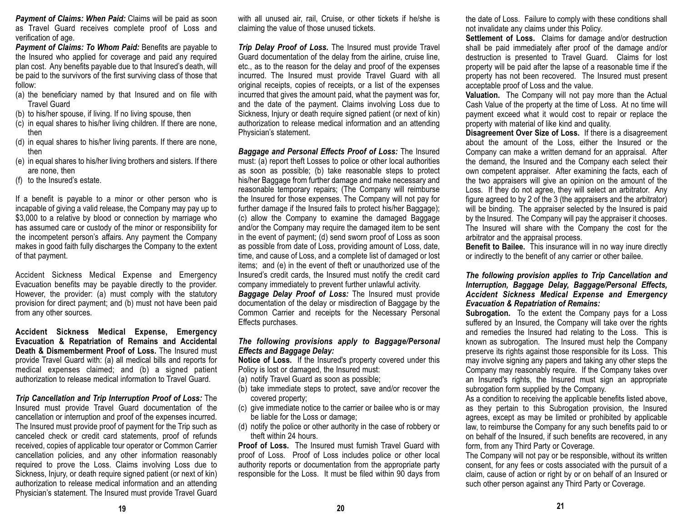*Payment of Claims: When Paid:* Claims will be paid as soon as Travel Guard receives complete proof of Loss and verification of age.

*Payment of Claims: To Whom Paid:* Benefits are payable to the Insured who applied for coverage and paid any required plan cost. Any benefits payable due to that Insured's death, will be paid to the survivors of the first surviving class of those that follow:

- (a) the beneficiary named by that Insured and on file with Travel Guard
- (b) to his/her spouse, if living. If no living spouse, then
- (c) in equal shares to his/her living children. If there are none, then
- (d) in equal shares to his/her living parents. If there are none, then
- (e) in equal shares to his/her living brothers and sisters. If there are none, then
- (f) to the Insured's estate.

If a benefit is payable to a minor or other person who is incapable of giving a valid release, the Company may pay up to \$3,000 to a relative by blood or connection by marriage who has assumed care or custody of the minor or responsibility for the incompetent person's affairs. Any payment the Company makes in good faith fully discharges the Company to the extent of that payment.

Accident Sickness Medical Expense and Emergency Evacuation benefits may be payable directly to the provider. However, the provider: (a) must comply with the statutory provision for direct payment; and (b) must not have been paid from any other sources.

**Accident Sickness Medical Expense, Emergency Evacuation & Repatriation of Remains and Accidental Death & Dismemberment Proof of Loss.** The Insured must provide Travel Guard with: (a) all medical bills and reports for medical expenses claimed; and (b) a signed patient authorization to release medical information to Travel Guard.

*Trip Cancellation and Trip Interruption Proof of Loss:* The Insured must provide Travel Guard documentation of the cancellation or interruption and proof of the expenses incurred. The Insured must provide proof of payment for the Trip such as canceled check or credit card statements, proof of refunds received, copies of applicable tour operator or Common Carrier cancellation policies, and any other information reasonably required to prove the Loss. Claims involving Loss due to Sickness, Injury, or death require signed patient (or next of kin) authorization to release medical information and an attending Physician's statement. The Insured must provide Travel Guard

with all unused air, rail, Cruise, or other tickets if he/she is claiming the value of those unused tickets.

*Trip Delay Proof of Loss.* The Insured must provide Travel Guard documentation of the delay from the airline, cruise line, etc., as to the reason for the delay and proof of the expenses incurred. The Insured must provide Travel Guard with all original receipts, copies of receipts, or a list of the expenses incurred that gives the amount paid, what the payment was for, and the date of the payment. Claims involving Loss due to Sickness, Injury or death require signed patient (or next of kin) authorization to release medical information and an attending Physician's statement.

*Baggage and Personal Effects Proof of Loss:* The Insured must: (a) report theft Losses to police or other local authorities as soon as possible; (b) take reasonable steps to protect his/her Baggage from further damage and make necessary and reasonable temporary repairs; (The Company will reimburse the Insured for those expenses. The Company will not pay for further damage if the Insured fails to protect his/her Baggage); (c) allow the Company to examine the damaged Baggage and/or the Company may require the damaged item to be sent in the event of payment; (d) send sworn proof of Loss as soon as possible from date of Loss, providing amount of Loss, date, time, and cause of Loss, and a complete list of damaged or lost items; and (e) in the event of theft or unauthorized use of the Insured's credit cards, the Insured must notify the credit card company immediately to prevent further unlawful activity.

*Baggage Delay Proof of Loss:* The Insured must provide documentation of the delay or misdirection of Baggage by the Common Carrier and receipts for the Necessary Personal Effects purchases.

### *The following provisions apply to Baggage/Personal Effects and Baggage Delay:*

**Notice of Loss.** If the Insured's property covered under this Policy is lost or damaged, the Insured must:

- (a) notify Travel Guard as soon as possible;
- (b) take immediate steps to protect, save and/or recover the covered property;
- (c) give immediate notice to the carrier or bailee who is or may be liable for the Loss or damage;
- (d) notify the police or other authority in the case of robbery or theft within 24 hours.

**Proof of Loss.** The Insured must furnish Travel Guard withproof of Loss. Proof of Loss includes police or other local authority reports or documentation from the appropriate party responsible for the Loss. It must be filed within 90 days from

the date of Loss. Failure to comply with these conditions shall not invalidate any claims under this Policy.

**Settlement of Loss.** Claims for damage and/or destruction shall be paid immediately after proof of the damage and/or destruction is presented to Travel Guard. Claims for lost property will be paid after the lapse of a reasonable time if the property has not been recovered. The Insured must present acceptable proof of Loss and the value.

**Valuation.** The Company will not pay more than the Actual Cash Value of the property at the time of Loss. At no time will payment exceed what it would cost to repair or replace the property with material of like kind and quality.

**Disagreement Over Size of Loss.** If there is a disagreement about the amount of the Loss, either the Insured or the Company can make a written demand for an appraisal. After the demand, the Insured and the Company each select their own competent appraiser. After examining the facts, each of the two appraisers will give an opinion on the amount of the Loss. If they do not agree, they will select an arbitrator. Any figure agreed to by 2 of the 3 (the appraisers and the arbitrator) will be binding. The appraiser selected by the Insured is paid by the Insured. The Company will pay the appraiser it chooses. The Insured will share with the Company the cost for the arbitrator and the appraisal process.

**Benefit to Bailee.** This insurance will in no way inure directly or indirectly to the benefit of any carrier or other bailee.

### *The following provision applies to Trip Cancellation and Interruption, Baggage Delay, Baggage/Personal Effects, Accident Sickness Medical Expense and Emergency Evacuation & Repatriation of Remains:*

**Subrogation.** To the extent the Company pays for a Loss suffered by an Insured, the Company will take over the rights and remedies the Insured had relating to the Loss. This is known as subrogation. The Insured must help the Company preserve its rights against those responsible for its Loss. This may involve signing any papers and taking any other steps the Company may reasonably require. If the Company takes over an Insured's rights, the Insured must sign an appropriate subrogation form supplied by the Company.

As a condition to receiving the applicable benefits listed above, as they pertain to this Subrogation provision, the Insured agrees, except as may be limited or prohibited by applicable law, to reimburse the Company for any such benefits paid to or on behalf of the Insured, if such benefits are recovered, in any form, from any Third Party or Coverage.

The Company will not pay or be responsible, without its written consent, for any fees or costs associated with the pursuit of a claim, cause of action or right by or on behalf of an Insured or such other person against any Third Party or Coverage.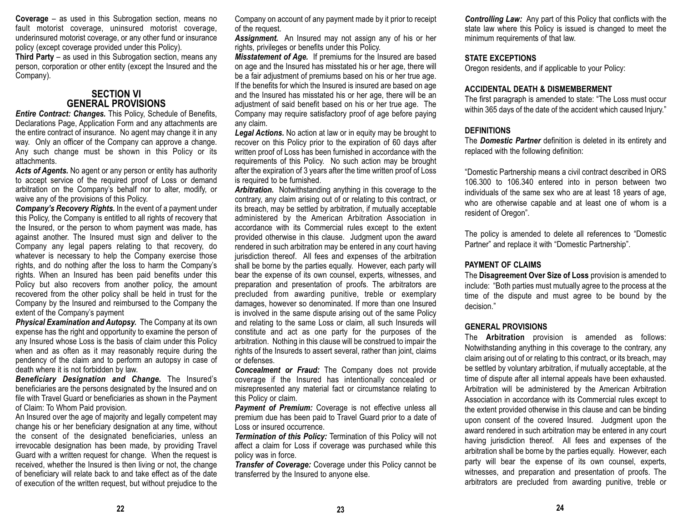**Coverage** – as used in this Subrogation section, means no fault motorist coverage, uninsured motorist coverage, underinsured motorist coverage, or any other fund or insurance policy (except coverage provided under this Policy).

**Third Party** – as used in this Subrogation section, means any person, corporation or other entity (except the Insured and the Company).

### **SECTION VIGENERAL PROVISIONS**

*Entire Contract: Changes. This Policy, Schedule of Benefits,* Declarations Page, Application Form and any attachments are the entire contract of insurance. No agent may change it in any way. Only an officer of the Company can approve a change. Any such change must be shown in this Policy or its attachments.

*Acts of Agents.* No agent or any person or entity has authority to accept service of the required proof of Loss or demand arbitration on the Company's behalf nor to alter, modify, or waive any of the provisions of this Policy.

*Company's Recovery Rights.* In the event of a payment under this Policy, the Company is entitled to all rights of recovery that the Insured, or the person to whom payment was made, has against another. The Insured must sign and deliver to the Company any legal papers relating to that recovery, do whatever is necessary to help the Company exercise those rights, and do nothing after the loss to harm the Company's rights. When an Insured has been paid benefits under this Policy but also recovers from another policy, the amount recovered from the other policy shall be held in trust for the Company by the Insured and reimbursed to the Company the extent of the Company's payment

*Physical Examination and Autopsy.* The Company at its own expense has the right and opportunity to examine the person of any Insured whose Loss is the basis of claim under this Policy when and as often as it may reasonably require during the pendency of the claim and to perform an autopsy in case of death where it is not forbidden by law.

*Beneficiary Designation and Change.* The Insured's beneficiaries are the persons designated by the Insured and on file with Travel Guard or beneficiaries as shown in the Payment of Claim: To Whom Paid provision.

An Insured over the age of majority and legally competent may change his or her beneficiary designation at any time, without the consent of the designated beneficiaries, unless an irrevocable designation has been made, by providing Travel Guard with a written request for change. When the request is received, whether the Insured is then living or not, the change of beneficiary will relate back to and take effect as of the date of execution of the written request, but without prejudice to the Company on account of any payment made by it prior to receipt of the request.

*Assignment.* An Insured may not assign any of his or her rights, privileges or benefits under this Policy.

*Misstatement of Age.* If premiums for the Insured are based on age and the Insured has misstated his or her age, there will be a fair adjustment of premiums based on his or her true age. If the benefits for which the Insured is insured are based on age and the Insured has misstated his or her age, there will be an adjustment of said benefit based on his or her true age. The Company may require satisfactory proof of age before paying any claim.

*Legal Actions.* No action at law or in equity may be brought to recover on this Policy prior to the expiration of 60 days after written proof of Loss has been furnished in accordance with the requirements of this Policy. No such action may be brought after the expiration of 3 years after the time written proof of Loss is required to be furnished.

*Arbitration.* Notwithstanding anything in this coverage to the contrary, any claim arising out of or relating to this contract, or its breach, may be settled by arbitration, if mutually acceptable administered by the American Arbitration Association in accordance with its Commercial rules except to the extent provided otherwise in this clause. Judgment upon the award rendered in such arbitration may be entered in any court having jurisdiction thereof. All fees and expenses of the arbitration shall be borne by the parties equally. However, each party will bear the expense of its own counsel, experts, witnesses, and preparation and presentation of proofs. The arbitrators are precluded from awarding punitive, treble or exemplary damages, however so denominated. If more than one Insured is involved in the same dispute arising out of the same Policy and relating to the same Loss or claim, all such Insureds will constitute and act as one party for the purposes of the arbitration. Nothing in this clause will be construed to impair the rights of the Insureds to assert several, rather than joint, claims or defenses.

*Concealment or Fraud:* The Company does not provide coverage if the Insured has intentionally concealed or misrepresented any material fact or circumstance relating to this Policy or claim.

**Payment of Premium:** Coverage is not effective unless all premium due has been paid to Travel Guard prior to a date of Loss or insured occurrence.

*Termination of this Policy:* Termination of this Policy will not affect a claim for Loss if coverage was purchased while this policy was in force.

*Transfer of Coverage:* Coverage under this Policy cannot be transferred by the Insured to anyone else.

*Controlling Law:* Any part of this Policy that conflicts with the state law where this Policy is issued is changed to meet the minimum requirements of that law.

### **STATE EXCEPTIONS**

Oregon residents, and if applicable to your Policy:

### **ACCIDENTAL DEATH & DISMEMBERMENT**

The first paragraph is amended to state: "The Loss must occur within 365 days of the date of the accident which caused Injury."

### **DEFINITIONS**

The *Domestic Partner* definition is deleted in its entirety and replaced with the following definition:

"Domestic Partnership means a civil contract described in ORS 106.300 to 106.340 entered into in person between two individuals of the same sex who are at least 18 years of age, who are otherwise capable and at least one of whom is a resident of Oregon".

The policy is amended to delete all references to "Domestic Partner" and replace it with "Domestic Partnership".

### **PAYMENT OF CLAIMS**

The **Disagreement Over Size of Loss** provision is amended to include: "Both parties must mutually agree to the process at the time of the dispute and must agree to be bound by the decision."

### **GENERAL PROVISIONS**

The **Arbitration** provision is amended as follows: Notwithstanding anything in this coverage to the contrary, any claim arising out of or relating to this contract, or its breach, may be settled by voluntary arbitration, if mutually acceptable, at the time of dispute after all internal appeals have been exhausted. Arbitration will be administered by the American Arbitration Association in accordance with its Commercial rules except to the extent provided otherwise in this clause and can be binding upon consent of the covered Insured. Judgment upon the award rendered in such arbitration may be entered in any court having jurisdiction thereof. All fees and expenses of the arbitration shall be borne by the parties equally. However, each party will bear the expense of its own counsel, experts, witnesses, and preparation and presentation of proofs. The arbitrators are precluded from awarding punitive, treble or